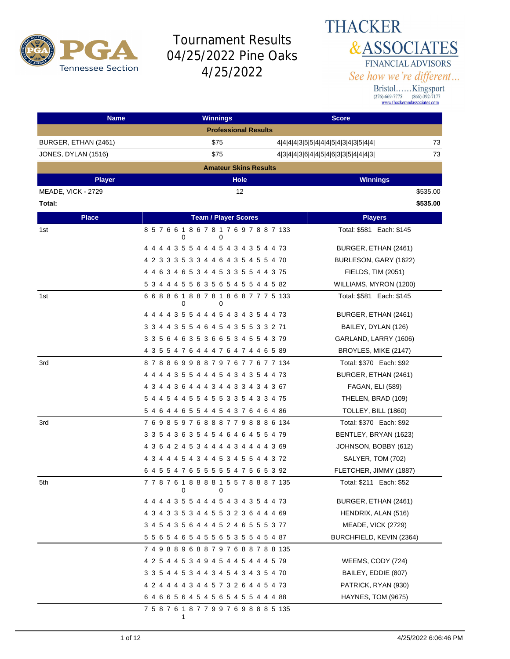

## **THACKER &ASSOCIATES** FINANCIAL ADVISORS See how we're different...

| <b>Name</b>          | <b>Winnings</b>                                   | <b>Score</b>                              |
|----------------------|---------------------------------------------------|-------------------------------------------|
|                      | <b>Professional Results</b>                       |                                           |
| BURGER, ETHAN (2461) | \$75                                              | 73<br>4 4 4 4 3 5 5 4 4 4 5 4 3 4 3 5 4 4 |
| JONES, DYLAN (1516)  | \$75                                              | 73<br>4 3 4 4 3 6 4 4 5 4 6 3 3 5 4 4 4 3 |
|                      | <b>Amateur Skins Results</b>                      |                                           |
| <b>Player</b>        | <b>Hole</b>                                       | <b>Winnings</b>                           |
| MEADE, VICK - 2729   | 12                                                | \$535.00                                  |
| Total:               |                                                   | \$535.00                                  |
| <b>Place</b>         | <b>Team / Player Scores</b>                       | <b>Players</b>                            |
| 1st                  | 8 5 7 6 6 1 8 6 7 8 1 7 6 9 7 8 8 7 133           | Total: \$581 Each: \$145                  |
|                      | 0<br>0                                            |                                           |
|                      | 4 4 4 4 3 5 5 4 4 4 5 4 3 4 3 5 4 4 73            | BURGER, ETHAN (2461)                      |
|                      | 4 2 3 3 3 5 3 3 4 4 6 4 3 5 4 5 5 4 70            | BURLESON, GARY (1622)                     |
|                      | 4 4 6 3 4 6 5 3 4 4 5 3 3 5 5 4 4 3 75            | FIELDS, TIM (2051)                        |
|                      | 5 3 4 4 4 5 5 6 3 5 6 5 4 5 5 4 4 5 82            | WILLIAMS, MYRON (1200)                    |
| 1st                  | 668861887818687775133<br>0<br>0                   | Total: \$581 Each: \$145                  |
|                      | 4 4 4 4 3 5 5 4 4 4 5 4 3 4 3 5 4 4 73            | BURGER, ETHAN (2461)                      |
|                      | 3 3 4 4 3 5 5 4 6 4 5 4 3 5 5 3 3 2 71            | BAILEY, DYLAN (126)                       |
|                      | 3 3 5 6 4 6 3 5 3 6 6 5 3 4 5 5 4 3 79            | GARLAND, LARRY (1606)                     |
|                      | 4 3 5 5 4 7 6 4 4 4 7 6 4 7 4 4 6 5 89            | BROYLES, MIKE (2147)                      |
| 3rd                  | 8 7 8 8 6 9 9 8 8 7 9 7 6 7 7 6 7 7 134           | Total: \$370 Each: \$92                   |
|                      | 4 4 4 4 3 5 5 4 4 4 5 4 3 4 3 5 4 4 73            | BURGER, ETHAN (2461)                      |
|                      | 4 3 4 4 3 6 4 4 4 3 4 4 3 3 4 3 4 3 67            | <b>FAGAN, ELI (589)</b>                   |
|                      | 5 4 4 5 4 4 5 5 4 5 5 3 3 5 4 3 3 4 75            | THELEN, BRAD (109)                        |
|                      | 5 4 6 4 4 6 5 5 4 4 5 4 3 7 6 4 6 4 86            | TOLLEY, BILL (1860)                       |
| 3rd                  | 7 6 9 8 5 9 7 6 8 8 8 7 7 9 8 8 8 6 134           | Total: \$370 Each: \$92                   |
|                      | 3 3 5 4 3 6 3 5 4 5 4 6 4 6 4 5 5 4 79            | BENTLEY, BRYAN (1623)                     |
|                      | 4 3 6 4 2 4 5 3 4 4 4 4 3 4 4 4 4 3 69            | JOHNSON, BOBBY (612)                      |
|                      | 4 3 4 4 4 5 4 3 4 4 5 3 4 5 5 4 4 3 72            | SALYER, TOM (702)                         |
|                      | 6 4 5 5 4 7 6 5 5 5 5 5 4 7 5 6 5 3 92            | FLETCHER, JIMMY (1887)                    |
| 5th                  | 7 7 8 7 6 1 8 8 8 8 1 5 5 7 8 8 8 7 135<br>0<br>0 | Total: \$211 Each: \$52                   |
|                      | 4 4 4 4 3 5 5 4 4 4 5 4 3 4 3 5 4 4 73            | BURGER, ETHAN (2461)                      |
|                      | 4 3 4 3 3 5 3 4 4 5 5 3 2 3 6 4 4 4 69            | HENDRIX, ALAN (516)                       |
|                      | 3 4 5 4 3 5 6 4 4 4 5 2 4 6 5 5 5 3 77            | MEADE, VICK (2729)                        |
|                      | 5 5 6 5 4 6 5 4 5 5 6 5 3 5 5 4 5 4 87            | BURCHFIELD, KEVIN (2364)                  |
|                      | 7 4 9 8 8 9 6 8 8 7 9 7 6 8 8 7 8 8 135           |                                           |
|                      | 4 2 5 4 4 5 3 4 9 4 5 4 4 5 4 4 4 5 79            | WEEMS, CODY (724)                         |
|                      | 3 3 5 4 4 5 3 4 4 3 4 5 4 3 4 3 5 4 70            | BAILEY, EDDIE (807)                       |
|                      | 4 2 4 4 4 4 3 4 4 5 7 3 2 6 4 4 5 4 73            | PATRICK, RYAN (930)                       |
|                      | 6 4 6 6 5 6 4 5 4 5 6 5 4 5 5 4 4 4 88            | HAYNES, TOM (9675)                        |
|                      | 7 5 8 7 6 1 8 7 7 9 9 7 6 9 8 8 8 5 135<br>1      |                                           |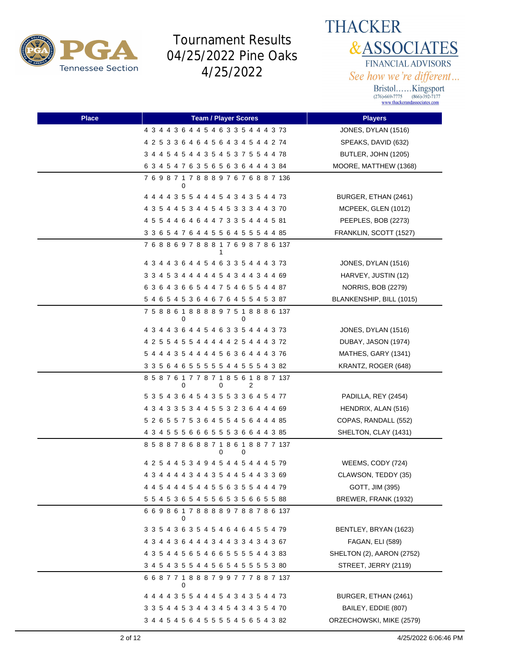



| Place | <b>Team / Player Scores</b>                            | <b>Players</b>            |
|-------|--------------------------------------------------------|---------------------------|
|       | 4 3 4 4 3 6 4 4 5 4 6 3 3 5 4 4 4 3 73                 | JONES, DYLAN (1516)       |
|       | 4 2 5 3 3 6 4 6 4 5 6 4 3 4 5 4 4 2 74                 | SPEAKS, DAVID (632)       |
|       | 3 4 4 5 4 5 4 4 3 5 4 5 3 7 5 5 4 4 78                 | BUTLER, JOHN (1205)       |
|       | 6 3 4 5 4 7 6 3 5 6 5 6 3 6 4 4 4 3 84                 | MOORE, MATTHEW (1368)     |
|       | 7 6 9 8 7 1 7 8 8 8 9 7 6 7 6 8 8 7 136<br>0           |                           |
|       | 4 4 4 4 3 5 5 4 4 4 5 4 3 4 3 5 4 4 73                 | BURGER, ETHAN (2461)      |
|       | 4 3 5 4 4 5 3 4 4 5 4 5 3 3 3 4 4 3 70                 | MCPEEK, GLEN (1012)       |
|       | 4 5 5 4 4 6 4 6 4 4 7 3 3 5 4 4 4 5 81                 | PEEPLES, BOB (2273)       |
|       | 3 3 6 5 4 7 6 4 4 5 5 6 4 5 5 5 4 4 85                 | FRANKLIN, SCOTT (1527)    |
|       | 768869788817698786137<br>1                             |                           |
|       | 4 3 4 4 3 6 4 4 5 4 6 3 3 5 4 4 4 3 73                 | JONES, DYLAN (1516)       |
|       | 3 3 4 5 3 4 4 4 4 4 5 4 3 4 4 3 4 4 69                 | HARVEY, JUSTIN (12)       |
|       | 6 3 6 4 3 6 6 5 4 4 7 5 4 6 5 5 4 4 87                 | NORRIS, BOB (2279)        |
|       | 5 4 6 5 4 5 3 6 4 6 7 6 4 5 5 4 5 3 87                 | BLANKENSHIP, BILL (1015)  |
|       | 7 5 8 8 6 1 8 8 8 8 9 7 5 1 8 8 8 6 137<br>0<br>0      |                           |
|       | 4 3 4 4 3 6 4 4 5 4 6 3 3 5 4 4 4 3 73                 | JONES, DYLAN (1516)       |
|       | 4 2 5 5 4 5 5 4 4 4 4 4 2 5 4 4 4 3 72                 | DUBAY, JASON (1974)       |
|       | 5 4 4 4 3 5 4 4 4 4 5 6 3 6 4 4 4 3 76                 | MATHES, GARY (1341)       |
|       | 3 3 5 6 4 6 5 5 5 5 5 4 4 5 5 5 4 3 82                 | KRANTZ, ROGER (648)       |
|       | 8 5 8 7 6 1 7 7 8 7 1 8 5 6 1 8 8 7 137<br>0<br>2<br>0 |                           |
|       | 5 3 5 4 3 6 4 5 4 3 5 5 3 3 6 4 5 4 77                 | PADILLA, REY (2454)       |
|       | 4 3 4 3 3 5 3 4 4 5 5 3 2 3 6 4 4 4 69                 | HENDRIX, ALAN (516)       |
|       | 5 2 6 5 5 7 5 3 6 4 5 5 4 5 6 4 4 4 85                 | COPAS, RANDALL (552)      |
|       | 4 3 4 5 5 5 6 6 6 5 5 5 3 6 6 4 4 3 85                 | SHELTON, CLAY (1431)      |
|       | 8 5 8 8 7 8 6 8 8 7 1 8 6 1 8 8 7 7 137<br>0<br>0      |                           |
|       | 4 2 5 4 4 5 3 4 9 4 5 4 4 5 4 4 4 5 79                 | WEEMS, CODY (724)         |
|       | 4 3 4 4 4 4 3 4 4 3 5 4 4 5 4 4 3 3 69                 | CLAWSON, TEDDY (35)       |
|       | 4 4 5 4 4 4 5 4 4 5 5 6 3 5 5 4 4 4 79                 | GOTT, JIM (395)           |
|       | 5 5 4 5 3 6 5 4 5 5 6 5 3 5 6 6 5 5 88                 | BREWER, FRANK (1932)      |
|       | 669861788889788786137<br>0                             |                           |
|       | 3 3 5 4 3 6 3 5 4 5 4 6 4 6 4 5 5 4 79                 | BENTLEY, BRYAN (1623)     |
|       | 4 3 4 4 3 6 4 4 4 3 4 4 3 3 4 3 4 3 67                 | FAGAN, ELI (589)          |
|       | 4 3 5 4 4 5 6 5 4 6 6 5 5 5 5 4 4 3 83                 | SHELTON (2), AARON (2752) |
|       | 3 4 5 4 3 5 5 4 4 5 6 5 4 5 5 5 5 3 80                 | STREET, JERRY (2119)      |
|       | 668771888799777887137                                  |                           |
|       | 0<br>4 4 4 4 3 5 5 4 4 4 5 4 3 4 3 5 4 4 73            | BURGER, ETHAN (2461)      |
|       | 3 3 5 4 4 5 3 4 4 3 4 5 4 3 4 3 5 4 70                 | BAILEY, EDDIE (807)       |
|       | 3 4 4 5 4 5 6 4 5 5 5 5 4 5 6 5 4 3 82                 | ORZECHOWSKI, MIKE (2579)  |
|       |                                                        |                           |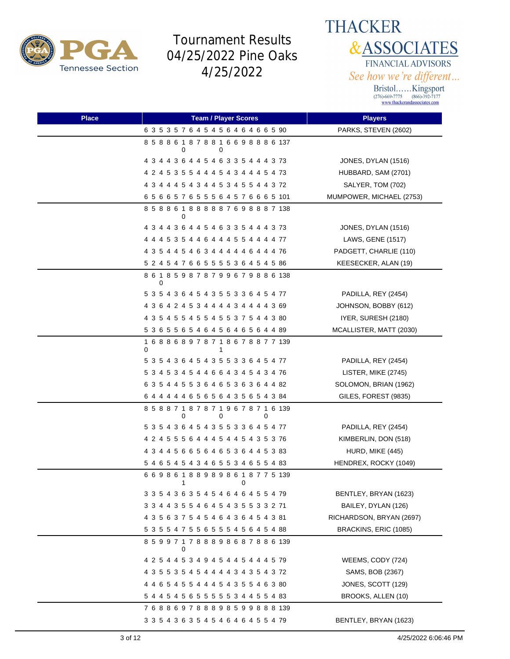

**THACKER &ASSOCIATES** FINANCIAL ADVISORS See how we're different...

| <b>Place</b> | <b>Team / Player Scores</b>                            | <b>Players</b>           |
|--------------|--------------------------------------------------------|--------------------------|
|              | 6 3 5 3 5 7 6 4 5 4 5 6 4 6 4 6 6 5 90                 | PARKS, STEVEN (2602)     |
|              | 858861878816698886137<br>O                             |                          |
|              | 4 3 4 4 3 6 4 4 5 4 6 3 3 5 4 4 4 3 73                 | JONES, DYLAN (1516)      |
|              | 4 2 4 5 3 5 5 4 4 4 5 4 3 4 4 4 5 4 73                 | HUBBARD, SAM (2701)      |
|              | 4 3 4 4 4 5 4 3 4 4 5 3 4 5 5 4 4 3 72                 | SALYER, TOM (702)        |
|              | 6 5 6 6 5 7 6 5 5 5 6 4 5 7 6 6 6 5 101                | MUMPOWER, MICHAEL (2753) |
|              | 8 5 8 8 6 1 8 8 8 8 8 7 6 9 8 8 8 7 138<br>0           |                          |
|              | 4 3 4 4 3 6 4 4 5 4 6 3 3 5 4 4 4 3 73                 | JONES, DYLAN (1516)      |
|              | 4 4 4 5 3 5 4 4 6 4 4 4 5 5 4 4 4 4 77                 | LAWS, GENE (1517)        |
|              | 4 3 5 4 4 5 4 6 3 4 4 4 4 4 6 4 4 4 76                 | PADGETT, CHARLIE (110)   |
|              | 5 2 4 5 4 7 6 6 5 5 5 5 3 6 4 5 4 5 86                 | KEESECKER, ALAN (19)     |
|              | 8 6 1 8 5 9 8 7 8 7 9 9 6 7 9 8 8 6 138<br>0           |                          |
|              | 5 3 5 4 3 6 4 5 4 3 5 5 3 3 6 4 5 4 77                 | PADILLA, REY (2454)      |
|              | 4 3 6 4 2 4 5 3 4 4 4 4 3 4 4 4 4 3 69                 | JOHNSON, BOBBY (612)     |
|              | 4 3 5 4 5 5 4 5 5 4 5 5 3 7 5 4 4 3 80                 | IYER, SURESH (2180)      |
|              | 5 3 6 5 5 6 5 4 6 4 5 6 4 6 5 6 4 4 89                 | MCALLISTER, MATT (2030)  |
|              | 1 6 8 8 6 8 9 7 8 7 1 8 6 7 8 8 7 7 139<br>0<br>1      |                          |
|              | 5 3 5 4 3 6 4 5 4 3 5 5 3 3 6 4 5 4 77                 | PADILLA, REY (2454)      |
|              | 5 3 4 5 3 4 5 4 4 6 6 4 3 4 5 4 3 4 76                 | LISTER, MIKE (2745)      |
|              | 6 3 5 4 4 5 5 3 6 4 6 5 3 6 3 6 4 4 82                 | SOLOMON, BRIAN (1962)    |
|              | 6 4 4 4 4 4 6 5 6 5 6 4 3 5 6 5 4 3 84                 | GILES, FOREST (9835)     |
|              | 8 5 8 8 7 1 8 7 8 7 1 9 6 7 8 7 1 6 139<br>0<br>0<br>0 |                          |
|              | 5 3 5 4 3 6 4 5 4 3 5 5 3 3 6 4 5 4 77                 | PADILLA, REY (2454)      |
|              | 4 2 4 5 5 5 6 4 4 4 5 4 4 5 4 3 5 3 76                 | KIMBERLIN, DON (518)     |
|              | 4 3 4 4 5 6 6 5 6 4 6 5 3 6 4 4 5 3 83                 | HURD, MIKE (445)         |
|              | 5 4 6 5 4 5 4 3 4 6 5 5 3 4 6 5 5 4 83                 | HENDREX, ROCKY (1049)    |
|              | 6 6 9 8 6 1 8 8 9 8 9 8 6 1 8 7 7 5 139<br>1<br>0      |                          |
|              | 3 3 5 4 3 6 3 5 4 5 4 6 4 6 4 5 5 4 79                 | BENTLEY, BRYAN (1623)    |
|              | 3 3 4 4 3 5 5 4 6 4 5 4 3 5 5 3 3 2 71                 | BAILEY, DYLAN (126)      |
|              | 4 3 5 6 3 7 5 4 5 4 6 4 3 6 4 5 4 3 81                 | RICHARDSON, BRYAN (2697) |
|              | 5 3 5 5 4 7 5 5 6 5 5 5 4 5 6 4 5 4 88                 | BRACKINS, ERIC (1085)    |
|              | 8 5 9 9 7 1 7 8 8 8 9 8 6 8 7 8 8 6 139<br>0           |                          |
|              | 4 2 5 4 4 5 3 4 9 4 5 4 4 5 4 4 4 5 79                 | WEEMS, CODY (724)        |
|              | 4 3 5 5 3 5 4 5 4 4 4 4 3 4 3 5 4 3 72                 | SAMS, BOB (2367)         |
|              | 4 4 6 5 4 5 5 4 4 4 5 4 3 5 5 4 6 3 80                 | JONES, SCOTT (129)       |
|              | 5 4 4 5 4 5 6 5 5 5 5 5 5 3 4 4 5 5 4 83               | BROOKS, ALLEN (10)       |
|              | 768869788898599888139                                  |                          |
|              | 3 3 5 4 3 6 3 5 4 5 4 6 4 6 4 5 5 4 79                 | BENTLEY, BRYAN (1623)    |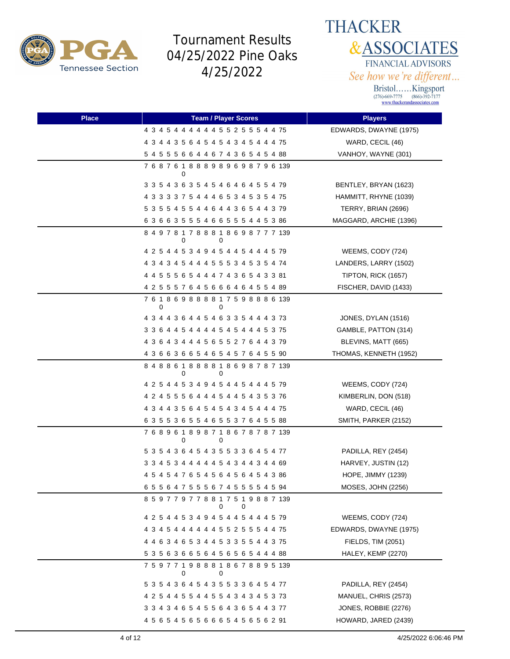



| <b>Place</b> | <b>Team / Player Scores</b>                       | <b>Players</b>            |
|--------------|---------------------------------------------------|---------------------------|
|              | 4 3 4 5 4 4 4 4 4 4 5 5 2 5 5 5 4 4 75            | EDWARDS, DWAYNE (1975)    |
|              | 4 3 4 4 3 5 6 4 5 4 5 4 3 4 5 4 4 4 75            | WARD, CECIL (46)          |
|              | 5 4 5 5 5 6 6 4 4 6 7 4 3 6 5 4 5 4 88            | VANHOY, WAYNE (301)       |
|              | 7 6 8 7 6 1 8 8 8 9 8 9 6 9 8 7 9 6 139<br>0      |                           |
|              | 3 3 5 4 3 6 3 5 4 5 4 6 4 6 4 5 5 4 79            | BENTLEY, BRYAN (1623)     |
|              | 4 3 3 3 3 7 5 4 4 4 6 5 3 4 5 3 5 4 75            | HAMMITT, RHYNE (1039)     |
|              | 5 3 5 5 4 5 5 4 4 6 4 4 3 6 5 4 4 3 79            | TERRY, BRIAN (2696)       |
|              | 63663555466555445386                              | MAGGARD, ARCHIE (1396)    |
|              | 8 4 9 7 8 1 7 8 8 8 1 8 6 9 8 7 7 7 139<br>0<br>0 |                           |
|              | 4 2 5 4 4 5 3 4 9 4 5 4 4 5 4 4 4 5 79            | WEEMS, CODY (724)         |
|              | 4 3 4 3 4 5 4 4 4 5 5 5 3 4 5 3 5 4 74            | LANDERS, LARRY (1502)     |
|              | 4 4 5 5 5 6 5 4 4 4 7 4 3 6 5 4 3 3 81            | TIPTON, RICK (1657)       |
|              | 4 2 5 5 5 7 6 4 5 6 6 6 4 6 4 5 5 4 89            | FISCHER, DAVID (1433)     |
|              | 7 6 1 8 6 9 8 8 8 8 1 7 5 9 8 8 8 6 139<br>0      |                           |
|              | 4 3 4 4 3 6 4 4 5 4 6 3 3 5 4 4 4 3 73            | JONES, DYLAN (1516)       |
|              | 3 3 6 4 4 5 4 4 4 4 5 4 5 4 4 4 5 3 75            | GAMBLE, PATTON (314)      |
|              | 4 3 6 4 3 4 4 4 5 6 5 5 2 7 6 4 4 3 79            | BLEVINS, MATT (665)       |
|              | 4 3 6 6 3 6 6 5 4 6 5 4 5 7 6 4 5 5 90            | THOMAS, KENNETH (1952)    |
|              | 8 4 8 8 6 1 8 8 8 8 1 8 6 9 8 7 8 7 139<br>0<br>0 |                           |
|              | 4 2 5 4 4 5 3 4 9 4 5 4 4 5 4 4 4 5 79            | WEEMS, CODY (724)         |
|              | 4 2 4 5 5 5 6 4 4 4 5 4 4 5 4 3 5 3 76            | KIMBERLIN, DON (518)      |
|              | 4 3 4 4 3 5 6 4 5 4 5 4 3 4 5 4 4 4 75            | WARD, CECIL (46)          |
|              | 6 3 5 5 3 6 5 5 4 6 5 5 3 7 6 4 5 5 88            | SMITH, PARKER (2152)      |
|              | 7 6 8 9 6 1 8 9 8 7 1 8 6 7 8 7 8 7 139<br>0<br>0 |                           |
|              | 5 3 5 4 3 6 4 5 4 3 5 5 3 3 6 4 5 4 77            | PADILLA, REY (2454)       |
|              | 3 3 4 5 3 4 4 4 4 4 5 4 3 4 4 3 4 4 69            | HARVEY, JUSTIN (12)       |
|              | 4 5 4 5 4 7 6 5 4 5 6 4 5 6 4 5 4 3 86            | <b>HOPE, JIMMY (1239)</b> |
|              | 6 5 5 6 4 7 5 5 5 6 7 4 5 5 5 5 4 5 94            | MOSES, JOHN (2256)        |
|              | 8 5 9 7 7 9 7 7 8 8 1 7 5 1 9 8 8 7 139<br>0<br>0 |                           |
|              | 4 2 5 4 4 5 3 4 9 4 5 4 4 5 4 4 4 5 79            | WEEMS, CODY (724)         |
|              | 4 3 4 5 4 4 4 4 4 4 5 5 2 5 5 5 4 4 75            | EDWARDS, DWAYNE (1975)    |
|              | 4 4 6 3 4 6 5 3 4 4 5 3 3 5 5 4 4 3 75            | FIELDS, TIM (2051)        |
|              | 53563665645656544488                              | HALEY, KEMP (2270)        |
|              | 7 5 9 7 7 1 9 8 8 8 1 8 6 7 8 8 9 5 139<br>0<br>0 |                           |
|              | 5 3 5 4 3 6 4 5 4 3 5 5 3 3 6 4 5 4 77            | PADILLA, REY (2454)       |
|              | 4 2 5 4 4 5 5 4 4 5 5 4 3 4 3 4 5 3 73            | MANUEL, CHRIS (2573)      |
|              | 3 3 4 3 4 6 5 4 5 5 6 4 3 6 5 4 4 3 77            | JONES, ROBBIE (2276)      |
|              | 4 5 6 5 4 5 6 5 6 6 6 5 4 5 6 5 6 2 91            | HOWARD, JARED (2439)      |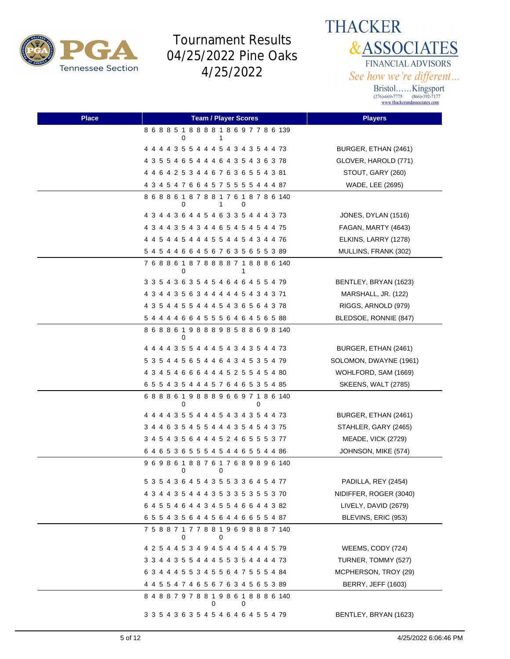

**THACKER &ASSOCIATES** FINANCIAL ADVISORS See how we're different...

| <b>Place</b> | <b>Team / Player Scores</b>                            | <b>Players</b>             |
|--------------|--------------------------------------------------------|----------------------------|
|              | 868851888818697786139<br>0<br>1                        |                            |
|              | 4 4 4 4 3 5 5 4 4 4 5 4 3 4 3 5 4 4 73                 | BURGER, ETHAN (2461)       |
|              | 4 3 5 5 4 6 5 4 4 4 6 4 3 5 4 3 6 3 78                 | GLOVER, HAROLD (771)       |
|              | 4 4 6 4 2 5 3 4 4 6 7 6 3 6 5 5 4 3 81                 | STOUT, GARY (260)          |
|              | 4 3 4 5 4 7 6 6 4 5 7 5 5 5 5 4 4 4 87                 | WADE, LEE (2695)           |
|              | 8 6 8 8 6 1 8 7 8 8 1 7 6 1 8 7 8 6 140<br>0<br>1<br>0 |                            |
|              | 4 3 4 4 3 6 4 4 5 4 6 3 3 5 4 4 4 3 73                 | JONES, DYLAN (1516)        |
|              | 4 3 4 4 3 5 4 3 4 4 6 5 4 5 4 5 4 4 75                 | FAGAN, MARTY (4643)        |
|              | 4 4 5 4 4 5 4 4 4 5 5 4 4 5 4 3 4 4 76                 | ELKINS, LARRY (1278)       |
|              | 5 4 5 4 4 6 6 4 5 6 7 6 3 5 6 5 5 3 89                 | MULLINS, FRANK (302)       |
|              | 7 6 8 8 6 1 8 7 8 8 8 8 7 1 8 8 8 6 140<br>0<br>1      |                            |
|              | 3 3 5 4 3 6 3 5 4 5 4 6 4 6 4 5 5 4 79                 | BENTLEY, BRYAN (1623)      |
|              | 4 3 4 4 3 5 6 3 4 4 4 4 4 5 4 3 4 3 71                 | MARSHALL, JR. (122)        |
|              | 4 3 5 4 4 5 5 4 4 4 5 4 3 6 5 6 4 3 78                 | RIGGS, ARNOLD (979)        |
|              | 5 4 4 4 4 6 6 4 5 5 5 6 4 6 4 5 6 5 88                 | BLEDSOE, RONNIE (847)      |
|              | 8 6 8 8 6 1 9 8 8 8 9 8 5 8 8 6 9 8 140<br>$\Omega$    |                            |
|              | 4 4 4 4 3 5 5 4 4 4 5 4 3 4 3 5 4 4 73                 | BURGER, ETHAN (2461)       |
|              | 5 3 5 4 4 5 6 5 4 4 6 4 3 4 5 3 5 4 79                 | SOLOMON, DWAYNE (1961)     |
|              | 4 3 4 5 4 6 6 6 4 4 4 5 2 5 5 4 5 4 80                 | WOHLFORD, SAM (1669)       |
|              | 6 5 5 4 3 5 4 4 4 5 7 6 4 6 5 3 5 4 85                 | <b>SKEENS, WALT (2785)</b> |
|              | 688861988896697186140<br>0<br>0                        |                            |
|              | 4 4 4 4 3 5 5 4 4 4 5 4 3 4 3 5 4 4 73                 | BURGER, ETHAN (2461)       |
|              | 3 4 4 6 3 5 4 5 5 4 4 4 3 5 4 5 4 3 75                 | STAHLER, GARY (2465)       |
|              | 3 4 5 4 3 5 6 4 4 4 5 2 4 6 5 5 5 3 77                 | <b>MEADE, VICK (2729)</b>  |
|              | 6 4 6 5 3 6 5 5 5 4 5 4 4 6 5 5 4 4 86                 | JOHNSON, MIKE (574)        |
|              | 9 6 9 8 6 1 8 8 7 6 1 7 6 8 9 8 9 6 140<br>0<br>0      |                            |
|              | 5 3 5 4 3 6 4 5 4 3 5 5 3 3 6 4 5 4 77                 | PADILLA, REY (2454)        |
|              | 4 3 4 4 3 5 4 4 4 3 5 3 3 5 3 5 5 3 70                 | NIDIFFER, ROGER (3040)     |
|              | 6 4 5 5 4 6 4 4 3 4 5 5 4 6 6 4 4 3 82                 | LIVELY, DAVID (2679)       |
|              | 6 5 5 4 3 5 6 4 4 5 6 4 4 6 6 5 5 4 87                 | BLEVINS, ERIC (953)        |
|              | 7 5 8 8 7 1 7 7 8 8 1 9 6 9 8 8 8 7 140<br>0<br>0      |                            |
|              | 4 2 5 4 4 5 3 4 9 4 5 4 4 5 4 4 4 5 79                 | WEEMS, CODY (724)          |
|              | 3 3 4 4 3 5 5 4 4 4 5 5 3 5 4 4 4 4 73                 | TURNER, TOMMY (527)        |
|              | 6 3 4 4 4 5 5 3 4 5 5 6 4 7 5 5 5 4 84                 | MCPHERSON, TROY (29)       |
|              | 4 4 5 5 4 7 4 6 5 6 7 6 3 4 5 6 5 3 89                 | <b>BERRY, JEFF (1603)</b>  |
|              | 8 4 8 8 7 9 7 8 8 1 9 8 6 1 8 8 8 6 140<br>0<br>0      |                            |
|              | 3 3 5 4 3 6 3 5 4 5 4 6 4 6 4 5 5 4 79                 | BENTLEY, BRYAN (1623)      |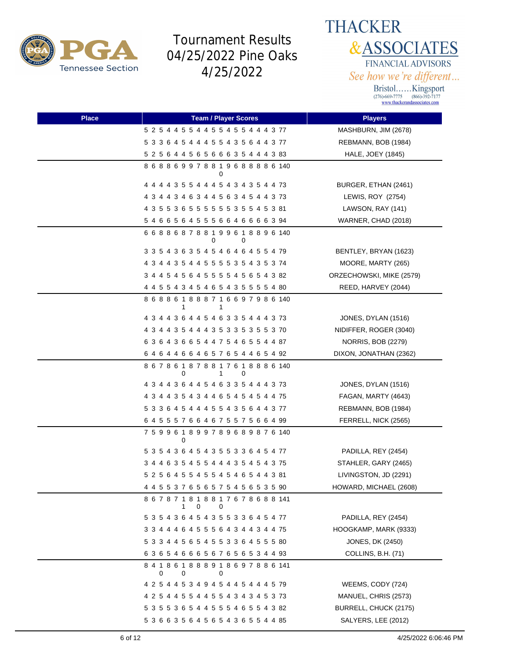



| <b>Place</b> | <b>Team / Player Scores</b>                            | <b>Players</b>            |
|--------------|--------------------------------------------------------|---------------------------|
|              | 5 2 5 4 4 5 5 4 4 5 5 4 5 5 4 4 4 3 77                 | MASHBURN, JIM (2678)      |
|              | 5 3 3 6 4 5 4 4 4 5 5 4 3 5 6 4 4 3 77                 | REBMANN, BOB (1984)       |
|              | 5 2 5 6 4 4 5 6 5 6 6 6 3 5 4 4 4 3 83                 | HALE, JOEY (1845)         |
|              | 868869978819688886140<br>0                             |                           |
|              | 4 4 4 4 3 5 5 4 4 4 5 4 3 4 3 5 4 4 73                 | BURGER, ETHAN (2461)      |
|              | 4 3 4 4 3 4 6 3 4 4 5 6 3 4 5 4 4 3 73                 | LEWIS, ROY (2754)         |
|              | 4 3 5 5 3 6 5 5 5 5 5 5 5 3 5 5 4 5 3 81               | LAWSON, RAY (141)         |
|              | 54665645556646666394                                   | WARNER, CHAD (2018)       |
|              | 668868788199618896140<br>0<br>0                        |                           |
|              | 3 3 5 4 3 6 3 5 4 5 4 6 4 6 4 5 5 4 79                 | BENTLEY, BRYAN (1623)     |
|              | 4 3 4 4 3 5 4 4 5 5 5 5 3 5 4 3 5 3 74                 | MOORE, MARTY (265)        |
|              | 3 4 4 5 4 5 6 4 5 5 5 5 4 5 6 5 4 3 82                 | ORZECHOWSKI, MIKE (2579)  |
|              | 4 4 5 5 4 3 4 5 4 6 5 4 3 5 5 5 5 4 80                 | REED, HARVEY (2044)       |
|              | 8 6 8 8 6 1 8 8 8 7 1 6 6 9 7 9 8 6 140<br>1           |                           |
|              | 4 3 4 4 3 6 4 4 5 4 6 3 3 5 4 4 4 3 73                 | JONES, DYLAN (1516)       |
|              | 4 3 4 4 3 5 4 4 4 3 5 3 3 5 3 5 5 3 70                 | NIDIFFER, ROGER (3040)    |
|              | 6 3 6 4 3 6 6 5 4 4 7 5 4 6 5 5 4 4 87                 | <b>NORRIS, BOB (2279)</b> |
|              | 64644664657654465492                                   | DIXON, JONATHAN (2362)    |
|              | 8 6 7 8 6 1 8 7 8 8 1 7 6 1 8 8 8 6 140<br>0<br>1<br>0 |                           |
|              | 4 3 4 4 3 6 4 4 5 4 6 3 3 5 4 4 4 3 73                 | JONES, DYLAN (1516)       |
|              | 4 3 4 4 3 5 4 3 4 4 6 5 4 5 4 5 4 4 75                 | FAGAN, MARTY (4643)       |
|              | 5 3 3 6 4 5 4 4 4 5 5 4 3 5 6 4 4 3 77                 | REBMANN, BOB (1984)       |
|              | 6 4 5 5 5 7 6 6 4 6 7 5 5 7 5 6 6 4 99                 | FERRELL, NICK (2565)      |
|              | 7 5 9 9 6 1 8 9 9 7 8 9 6 8 9 8 7 6 140<br>0           |                           |
|              | 5 3 5 4 3 6 4 5 4 3 5 5 3 3 6 4 5 4 77                 | PADILLA, REY (2454)       |
|              | 3 4 4 6 3 5 4 5 5 4 4 4 3 5 4 5 4 3 75                 | STAHLER, GARY (2465)      |
|              | 5 2 5 6 4 5 5 4 5 5 4 5 4 6 5 4 4 3 81                 | LIVINGSTON, JD (2291)     |
|              | 4 4 5 5 3 7 6 5 6 5 7 5 4 5 6 5 3 5 90                 | HOWARD, MICHAEL (2608)    |
|              | 867871818817678688141<br>1<br>0<br>0                   |                           |
|              | 5 3 5 4 3 6 4 5 4 3 5 5 3 3 6 4 5 4 77                 | PADILLA, REY (2454)       |
|              | 3 3 4 4 4 6 4 5 5 5 6 4 3 4 4 3 4 4 75                 | HOOGKAMP, MARK (9333)     |
|              | 5 3 3 4 4 5 6 5 4 5 5 3 3 6 4 5 5 5 80                 | <b>JONES, DK (2450)</b>   |
|              | 6 3 6 5 4 6 6 6 5 6 7 6 5 6 5 3 4 4 93                 | COLLINS, B.H. (71)        |
|              | 8 4 1 8 6 1 8 8 8 9 1 8 6 9 7 8 8 6 141<br>0<br>0<br>0 |                           |
|              | 4 2 5 4 4 5 3 4 9 4 5 4 4 5 4 4 4 5 79                 | WEEMS, CODY (724)         |
|              | 4 2 5 4 4 5 5 4 4 5 5 4 3 4 3 4 5 3 73                 | MANUEL, CHRIS (2573)      |
|              | 5 3 5 5 3 6 5 4 4 5 5 5 4 6 5 5 4 3 82                 | BURRELL, CHUCK (2175)     |
|              | 5 3 6 6 3 5 6 4 5 6 5 4 3 6 5 5 4 4 85                 | SALYERS, LEE (2012)       |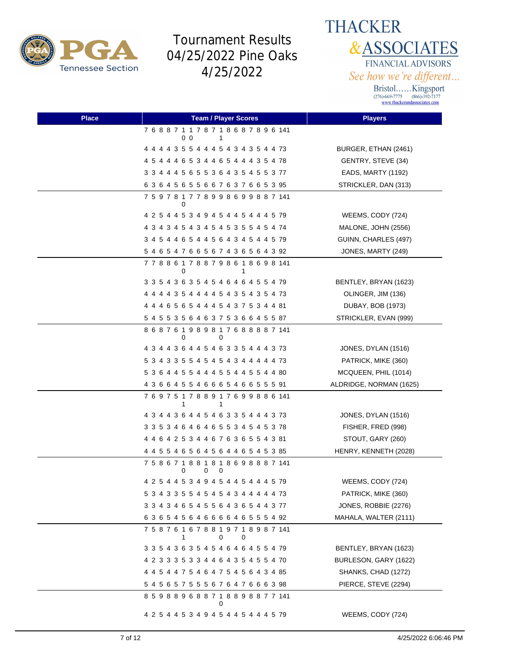

**THACKER &ASSOCIATES** FINANCIAL ADVISORS See how we're different...

| <b>Place</b> | <b>Team / Player Scores</b>                               | <b>Players</b>          |
|--------------|-----------------------------------------------------------|-------------------------|
|              | 7 6 8 8 7 1 1 7 8 7 1 8 6 8 7 8 9 6 141<br>0 <sub>0</sub> |                         |
|              | 4 4 4 4 3 5 5 4 4 4 5 4 3 4 3 5 4 4 73                    | BURGER, ETHAN (2461)    |
|              | 4 5 4 4 4 6 5 3 4 4 6 5 4 4 4 3 5 4 78                    | GENTRY, STEVE (34)      |
|              | 3 3 4 4 4 5 6 5 5 3 6 4 3 5 4 5 5 3 77                    | EADS, MARTY (1192)      |
|              | 63645655667637665395                                      | STRICKLER, DAN (313)    |
|              | 7 5 9 7 8 1 7 7 8 9 9 8 6 9 9 8 8 7 141<br>0              |                         |
|              | 4 2 5 4 4 5 3 4 9 4 5 4 4 5 4 4 4 5 79                    | WEEMS, CODY (724)       |
|              | 4 3 4 3 4 5 4 3 4 5 4 5 3 5 5 4 5 4 74                    | MALONE, JOHN (2556)     |
|              | 3 4 5 4 4 6 5 4 4 5 6 4 3 4 5 4 4 5 79                    | GUINN, CHARLES (497)    |
|              | 5 4 6 5 4 7 6 6 5 6 7 4 3 6 5 6 4 3 92                    | JONES, MARTY (249)      |
|              | 7 7 8 8 6 1 7 8 8 7 9 8 6 1 8 6 9 8 141<br>0<br>1         |                         |
|              | 3 3 5 4 3 6 3 5 4 5 4 6 4 6 4 5 5 4 79                    | BENTLEY, BRYAN (1623)   |
|              | 4 4 4 4 3 5 4 4 4 4 5 4 3 5 4 3 5 4 73                    | OLINGER, JIM (136)      |
|              | 4 4 4 6 5 6 5 4 4 4 5 4 3 7 5 3 4 4 81                    | DUBAY, BOB (1973)       |
|              | 5 4 5 5 3 5 6 4 6 3 7 5 3 6 6 4 5 5 87                    | STRICKLER, EVAN (999)   |
|              | 868761989817688887141<br>0<br>0                           |                         |
|              | 4 3 4 4 3 6 4 4 5 4 6 3 3 5 4 4 4 3 73                    | JONES, DYLAN (1516)     |
|              | 5 3 4 3 3 5 5 4 5 4 5 4 3 4 4 4 4 4 73                    | PATRICK, MIKE (360)     |
|              | 5 3 6 4 4 5 5 4 4 4 5 5 4 4 5 5 4 4 80                    | MCQUEEN, PHIL (1014)    |
|              | 4 3 6 6 4 5 5 4 6 6 6 5 4 6 6 5 5 5 91                    | ALDRIDGE, NORMAN (1625) |
|              | 7 6 9 7 5 1 7 8 8 9 1 7 6 9 9 8 8 6 141<br>1<br>1         |                         |
|              | 4 3 4 4 3 6 4 4 5 4 6 3 3 5 4 4 4 3 73                    | JONES, DYLAN (1516)     |
|              | 3 3 5 3 4 6 4 6 4 6 5 5 3 4 5 4 5 3 78                    | FISHER, FRED (998)      |
|              | 4 4 6 4 2 5 3 4 4 6 7 6 3 6 5 5 4 3 81                    | STOUT, GARY (260)       |
|              | 4 4 5 5 4 6 5 6 4 5 6 4 4 6 5 4 5 3 85                    | HENRY, KENNETH (2028)   |
|              | 7 5 8 6 7 1 8 8 1 8 1 8 6 9 8 8 8 7 141<br>0<br>0<br>0    |                         |
|              | 4 2 5 4 4 5 3 4 9 4 5 4 4 5 4 4 4 5 79                    | WEEMS, CODY (724)       |
|              | 5 3 4 3 3 5 5 4 5 4 5 4 3 4 4 4 4 4 73                    | PATRICK, MIKE (360)     |
|              | 3 3 4 3 4 6 5 4 5 5 6 4 3 6 5 4 4 3 77                    | JONES, ROBBIE (2276)    |
|              | 6 3 6 5 4 5 6 4 6 6 6 6 4 6 5 5 5 4 92                    | MAHALA, WALTER (2111)   |
|              | 7 5 8 7 6 1 6 7 8 8 1 9 7 1 8 9 8 7 141<br>0<br>1<br>0    |                         |
|              | 3 3 5 4 3 6 3 5 4 5 4 6 4 6 4 5 5 4 79                    | BENTLEY, BRYAN (1623)   |
|              | 4 2 3 3 3 5 3 3 4 4 6 4 3 5 4 5 5 4 70                    | BURLESON, GARY (1622)   |
|              |                                                           | SHANKS, CHAD (1272)     |
|              |                                                           | PIERCE, STEVE (2294)    |
|              | 859889688718898877141<br>0                                |                         |
|              | 4 2 5 4 4 5 3 4 9 4 5 4 4 5 4 4 4 5 79                    | WEEMS, CODY (724)       |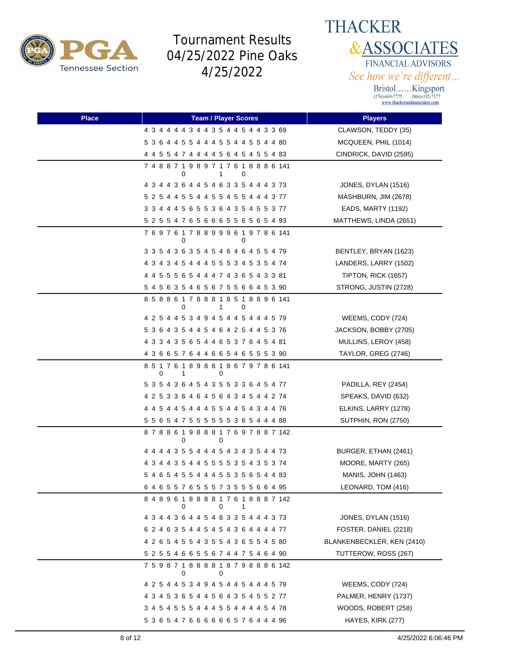



| <b>Place</b> | <b>Team / Player Scores</b>                            | <b>Players</b>             |
|--------------|--------------------------------------------------------|----------------------------|
|              | 4 3 4 4 4 4 3 4 4 3 5 4 4 5 4 4 3 3 69                 | CLAWSON, TEDDY (35)        |
|              | 5 3 6 4 4 5 5 4 4 4 5 5 4 4 5 5 4 4 80                 | MCQUEEN, PHIL (1014)       |
|              | 4 4 5 5 4 7 4 4 4 4 5 6 4 5 4 5 5 4 83                 | CINDRICK, DAVID (2595)     |
|              | 7 4 8 8 7 1 9 8 9 7 1 7 6 1 8 8 8 6 141<br>0<br>1<br>0 |                            |
|              | 4 3 4 4 3 6 4 4 5 4 6 3 3 5 4 4 4 3 73                 | JONES, DYLAN (1516)        |
|              | 5 2 5 4 4 5 5 4 4 5 5 4 5 5 4 4 4 3 77                 | MASHBURN, JIM (2678)       |
|              | 3 3 4 4 4 5 6 5 5 3 6 4 3 5 4 5 5 3 77                 | EADS, MARTY (1192)         |
|              | 5 2 5 5 4 7 6 5 6 6 6 5 5 6 5 6 5 4 93                 | MATTHEWS, LINDA (2651)     |
|              | 769761788999619786141<br>0<br>0                        |                            |
|              | 3 3 5 4 3 6 3 5 4 5 4 6 4 6 4 5 5 4 79                 | BENTLEY, BRYAN (1623)      |
|              | 4 3 4 3 4 5 4 4 4 5 5 5 3 4 5 3 5 4 74                 | LANDERS, LARRY (1502)      |
|              | 4 4 5 5 5 6 5 4 4 4 7 4 3 6 5 4 3 3 81                 | TIPTON, RICK (1657)        |
|              | 5 4 5 6 3 5 4 6 5 6 7 5 5 6 6 4 5 3 90                 | STRONG, JUSTIN (2728)      |
|              | 858861788818518896141<br>0<br>1.<br>0                  |                            |
|              | 4 2 5 4 4 5 3 4 9 4 5 4 4 5 4 4 4 5 79                 | WEEMS, CODY (724)          |
|              | 5 3 6 4 3 5 4 4 5 4 6 4 2 5 4 4 5 3 76                 | JACKSON, BOBBY (2705)      |
|              | 4 3 3 4 3 5 6 5 4 4 6 5 3 7 6 4 5 4 81                 | MULLINS, LEROY (458)       |
|              | 4 3 6 6 5 7 6 4 4 6 6 5 4 6 5 5 5 3 90                 | TAYLOR, GREG (2746)        |
|              | 8 5 1 7 6 1 8 9 8 8 1 8 6 7 9 7 8 6 141<br>0<br>1<br>0 |                            |
|              | 5 3 5 4 3 6 4 5 4 3 5 5 3 3 6 4 5 4 77                 | PADILLA, REY (2454)        |
|              | 4 2 5 3 3 6 4 6 4 5 6 4 3 4 5 4 4 2 74                 | SPEAKS, DAVID (632)        |
|              | 4 4 5 4 4 5 4 4 4 5 5 4 4 5 4 3 4 4 76                 | ELKINS, LARRY (1278)       |
|              | 5 5 6 5 4 7 5 5 5 5 5 5 5 3 6 5 4 4 4 88               | SUTPHIN, RON (2750)        |
|              | 878861988817697887142<br>0<br>0                        |                            |
|              | 4 4 4 4 3 5 5 4 4 4 5 4 3 4 3 5 4 4 73                 | BURGER, ETHAN (2461)       |
|              | 4 3 4 4 3 5 4 4 5 5 5 5 3 5 4 3 5 3 74                 | MOORE, MARTY (265)         |
|              | 5 4 6 5 4 5 5 4 4 4 5 5 3 5 6 5 4 4 83                 | <b>MANIS, JOHN (1463)</b>  |
|              | 6 4 6 5 5 7 6 5 5 5 7 3 5 5 5 6 6 4 95                 | LEONARD, TOM (416)         |
|              | 8 4 8 9 6 1 8 8 8 8 1 7 6 1 8 8 8 7 142<br>0<br>0<br>1 |                            |
|              | 4 3 4 4 3 6 4 4 5 4 6 3 3 5 4 4 4 3 73                 | JONES, DYLAN (1516)        |
|              | 6 2 4 6 3 5 4 4 5 4 5 4 3 6 4 4 4 4 77                 | FOSTER, DANIEL (2218)      |
|              | 4 2 6 5 4 5 5 4 3 5 5 4 3 6 5 5 4 5 80                 | BLANKENBECKLER, KEN (2410) |
|              | 5 2 5 5 4 6 6 5 5 6 7 4 4 7 5 4 6 4 90                 | TUTTEROW, ROSS (267)       |
|              | 7 5 9 8 7 1 8 8 8 8 1 8 7 9 8 8 8 6 142<br>0<br>0      |                            |
|              | 4 2 5 4 4 5 3 4 9 4 5 4 4 5 4 4 4 5 79                 | WEEMS, CODY (724)          |
|              | 4 3 4 5 3 6 5 4 4 5 6 4 3 5 4 5 5 2 77                 | PALMER, HENRY (1737)       |
|              | 3 4 5 4 5 5 5 4 4 4 5 5 4 4 4 4 5 4 78                 | WOODS, ROBERT (258)        |
|              | 53654766666657644496                                   | HAYES, KIRK (277)          |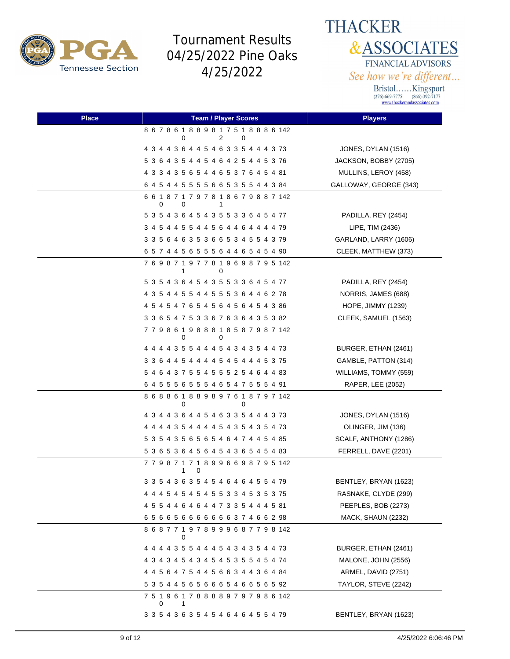

**THACKER &ASSOCIATES** FINANCIAL ADVISORS See how we're different...

| <b>Place</b> | <b>Team / Player Scores</b>                            | <b>Players</b>            |
|--------------|--------------------------------------------------------|---------------------------|
|              | 8 6 7 8 6 1 8 8 9 8 1 7 5 1 8 8 8 6 142<br>0<br>2<br>0 |                           |
|              | 4 3 4 4 3 6 4 4 5 4 6 3 3 5 4 4 4 3 73                 | JONES, DYLAN (1516)       |
|              | 5 3 6 4 3 5 4 4 5 4 6 4 2 5 4 4 5 3 76                 | JACKSON, BOBBY (2705)     |
|              | 4 3 3 4 3 5 6 5 4 4 6 5 3 7 6 4 5 4 81                 | MULLINS, LEROY (458)      |
|              | 6 4 5 4 4 5 5 5 5 6 6 5 3 5 5 4 4 3 84                 | GALLOWAY, GEORGE (343)    |
|              | 6 6 1 8 7 1 7 9 7 8 1 8 6 7 9 8 8 7 142<br>0<br>0<br>1 |                           |
|              | 5 3 5 4 3 6 4 5 4 3 5 5 3 3 6 4 5 4 77                 | PADILLA, REY (2454)       |
|              | 3 4 5 4 4 5 5 4 4 5 6 4 4 6 4 4 4 4 79                 | LIPE, TIM (2436)          |
|              | 3 3 5 6 4 6 3 5 3 6 6 5 3 4 5 5 4 3 79                 | GARLAND, LARRY (1606)     |
|              | 6 5 7 4 4 5 6 5 5 5 6 4 4 6 5 4 5 4 90                 | CLEEK, MATTHEW (373)      |
|              | 7 6 9 8 7 1 9 7 7 8 1 9 6 9 8 7 9 5 142<br>0<br>1      |                           |
|              | 5 3 5 4 3 6 4 5 4 3 5 5 3 3 6 4 5 4 77                 | PADILLA, REY (2454)       |
|              | 4 3 5 4 4 5 5 4 4 5 5 5 3 6 4 4 6 2 78                 | NORRIS, JAMES (688)       |
|              | 4 5 4 5 4 7 6 5 4 5 6 4 5 6 4 5 4 3 86                 | <b>HOPE, JIMMY (1239)</b> |
|              | 3 3 6 5 4 7 5 3 3 6 7 6 3 6 4 3 5 3 82                 | CLEEK, SAMUEL (1563)      |
|              | 7 7 9 8 6 1 9 8 8 8 1 8 5 8 7 9 8 7 142<br>0<br>0      |                           |
|              | 4 4 4 4 3 5 5 4 4 4 5 4 3 4 3 5 4 4 73                 | BURGER, ETHAN (2461)      |
|              | 3 3 6 4 4 5 4 4 4 4 5 4 5 4 4 4 5 3 75                 | GAMBLE, PATTON (314)      |
|              | 5 4 6 4 3 7 5 5 4 5 5 5 2 5 4 6 4 4 83                 | WILLIAMS, TOMMY (559)     |
|              | 6 4 5 5 5 6 5 5 5 4 6 5 4 7 5 5 5 4 91                 | RAPER, LEE (2052)         |
|              | 8 6 8 8 6 1 8 8 9 8 9 7 6 1 8 7 9 7 142<br>0<br>0      |                           |
|              | 4 3 4 4 3 6 4 4 5 4 6 3 3 5 4 4 4 3 73                 | JONES, DYLAN (1516)       |
|              | 4 4 4 4 3 5 4 4 4 4 5 4 3 5 4 3 5 4 73                 | OLINGER, JIM (136)        |
|              | 5 3 5 4 3 5 6 5 6 5 4 6 4 7 4 4 5 4 85                 | SCALF, ANTHONY (1286)     |
|              | 5 3 6 5 3 6 4 5 6 4 5 4 3 6 5 4 5 4 83                 | FERRELL, DAVE (2201)      |
|              | 779871718996698795142<br>0<br>1                        |                           |
|              | 3 3 5 4 3 6 3 5 4 5 4 6 4 6 4 5 5 4 79                 | BENTLEY, BRYAN (1623)     |
|              | 4 4 4 5 4 5 4 5 4 5 5 3 3 4 5 3 5 3 75                 | RASNAKE, CLYDE (299)      |
|              | 4 5 5 4 4 6 4 6 4 4 7 3 3 5 4 4 4 5 81                 | PEEPLES, BOB (2273)       |
|              | 65665666666637466298                                   | MACK, SHAUN (2232)        |
|              | 868771978999687798142<br>0                             |                           |
|              | 4 4 4 4 3 5 5 4 4 4 5 4 3 4 3 5 4 4 73                 | BURGER, ETHAN (2461)      |
|              | 4 3 4 3 4 5 4 3 4 5 4 5 3 5 5 4 5 4 74                 | MALONE, JOHN (2556)       |
|              | 4 4 5 6 4 7 5 4 4 5 6 6 3 4 4 3 6 4 84                 | ARMEL, DAVID (2751)       |
|              | 5 3 5 4 4 5 6 5 6 6 6 5 4 6 6 5 6 5 92                 | TAYLOR, STEVE (2242)      |
|              | 7 5 1 9 6 1 7 8 8 8 8 9 7 9 7 9 8 6 142<br>0<br>1      |                           |
|              | 3 3 5 4 3 6 3 5 4 5 4 6 4 6 4 5 5 4 79                 | BENTLEY, BRYAN (1623)     |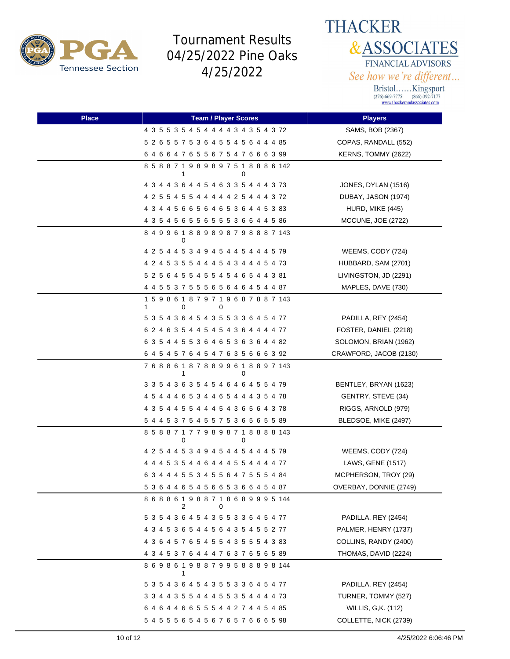



| <b>Place</b> | <b>Team / Player Scores</b>                            | <b>Players</b>         |
|--------------|--------------------------------------------------------|------------------------|
|              | 4 3 5 5 3 5 4 5 4 4 4 4 3 4 3 5 4 3 72                 | SAMS, BOB (2367)       |
|              | 5 2 6 5 5 7 5 3 6 4 5 5 4 5 6 4 4 4 85                 | COPAS, RANDALL (552)   |
|              | 64664765567547666399                                   | KERNS, TOMMY (2622)    |
|              | 8 5 8 8 7 1 9 8 9 8 9 7 5 1 8 8 8 6 142<br>0<br>1      |                        |
|              | 4 3 4 4 3 6 4 4 5 4 6 3 3 5 4 4 4 3 73                 | JONES, DYLAN (1516)    |
|              | 4 2 5 5 4 5 5 4 4 4 4 4 2 5 4 4 4 3 72                 | DUBAY, JASON (1974)    |
|              | 4 3 4 4 5 6 6 5 6 4 6 5 3 6 4 4 5 3 83                 | HURD, MIKE (445)       |
|              | 4 3 5 4 5 6 5 5 6 5 5 5 3 6 6 4 4 5 86                 | MCCUNE, JOE (2722)     |
|              | 8 4 9 9 6 1 8 8 9 8 9 8 7 9 8 8 8 7 143<br>0           |                        |
|              | 4 2 5 4 4 5 3 4 9 4 5 4 4 5 4 4 4 5 79                 | WEEMS, CODY (724)      |
|              | 4 2 4 5 3 5 5 4 4 4 5 4 3 4 4 4 5 4 73                 | HUBBARD, SAM (2701)    |
|              | 5 2 5 6 4 5 5 4 5 5 4 5 4 6 5 4 4 3 81                 | LIVINGSTON, JD (2291)  |
|              | 4 4 5 5 3 7 5 5 5 6 5 6 4 6 4 5 4 4 87                 | MAPLES, DAVE (730)     |
|              | 1 5 9 8 6 1 8 7 9 7 1 9 6 8 7 8 8 7 143<br>0<br>0<br>1 |                        |
|              | 5 3 5 4 3 6 4 5 4 3 5 5 3 3 6 4 5 4 77                 | PADILLA, REY (2454)    |
|              | 6 2 4 6 3 5 4 4 5 4 5 4 3 6 4 4 4 4 77                 | FOSTER, DANIEL (2218)  |
|              | 6 3 5 4 4 5 5 3 6 4 6 5 3 6 3 6 4 4 82                 | SOLOMON, BRIAN (1962)  |
|              | 6 4 5 4 5 7 6 4 5 4 7 6 3 5 6 6 6 3 92                 | CRAWFORD, JACOB (2130) |
|              | 7 6 8 8 6 1 8 7 8 8 9 9 6 1 8 8 9 7 143<br>1<br>0      |                        |
|              | 3 3 5 4 3 6 3 5 4 5 4 6 4 6 4 5 5 4 79                 | BENTLEY, BRYAN (1623)  |
|              | 4 5 4 4 4 6 5 3 4 4 6 5 4 4 4 3 5 4 78                 | GENTRY, STEVE (34)     |
|              | 4 3 5 4 4 5 5 4 4 4 5 4 3 6 5 6 4 3 78                 | RIGGS, ARNOLD (979)    |
|              | 5 4 4 5 3 7 5 4 5 5 7 5 3 6 5 6 5 5 89                 | BLEDSOE, MIKE (2497)   |
|              | 8 5 8 8 7 1 7 7 9 8 9 8 7 1 8 8 8 8 143<br>0<br>0      |                        |
|              | 4 2 5 4 4 5 3 4 9 4 5 4 4 5 4 4 4 5 79                 | WEEMS, CODY (724)      |
|              | 4 4 4 5 3 5 4 4 6 4 4 4 5 5 4 4 4 4 77                 | LAWS, GENE (1517)      |
|              | 6 3 4 4 4 5 5 3 4 5 5 6 4 7 5 5 5 4 84                 | MCPHERSON, TROY (29)   |
|              | 5 3 6 4 4 6 5 4 5 6 6 5 3 6 6 4 5 4 87                 | OVERBAY, DONNIE (2749) |
|              | 8 6 8 8 6 1 9 8 8 7 1 8 6 8 9 9 9 5 144<br>2<br>0      |                        |
|              | 5 3 5 4 3 6 4 5 4 3 5 5 3 3 6 4 5 4 77                 | PADILLA, REY (2454)    |
|              | 4 3 4 5 3 6 5 4 4 5 6 4 3 5 4 5 5 2 77                 | PALMER, HENRY (1737)   |
|              | 4 3 6 4 5 7 6 5 4 5 5 4 3 5 5 5 4 3 83                 | COLLINS, RANDY (2400)  |
|              | 4 3 4 5 3 7 6 4 4 4 7 6 3 7 6 5 6 5 89                 | THOMAS, DAVID (2224)   |
|              | 869861988799588898144<br>1                             |                        |
|              | 5 3 5 4 3 6 4 5 4 3 5 5 3 3 6 4 5 4 77                 | PADILLA, REY (2454)    |
|              | 3 3 4 4 3 5 5 4 4 4 5 5 3 5 4 4 4 4 73                 | TURNER, TOMMY (527)    |
|              | 6 4 6 4 4 6 6 5 5 5 4 4 2 7 4 4 5 4 85                 | WILLIS, G,K. (112)     |
|              |                                                        | COLLETTE, NICK (2739)  |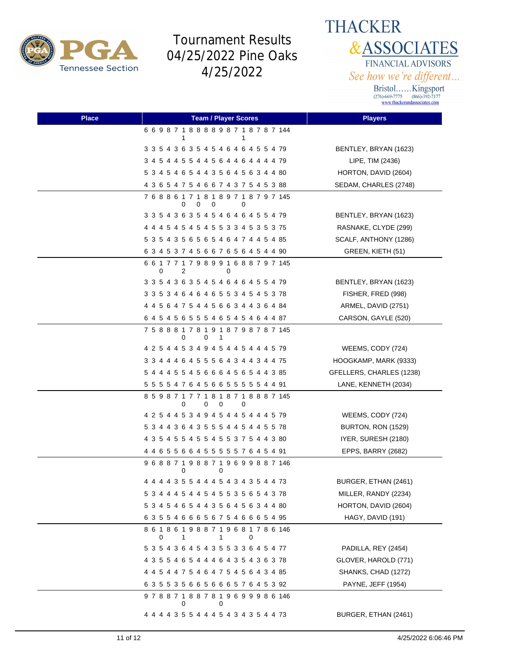

**THACKER &ASSOCIATES** FINANCIAL ADVISORS See how we're different...

| <b>Place</b> | <b>Team / Player Scores</b>                                 | <b>Players</b>           |
|--------------|-------------------------------------------------------------|--------------------------|
|              | 6 6 9 8 7 1 8 8 8 8 9 8 7 1 8 7 8 7 144<br>1<br>1           |                          |
|              | 3 3 5 4 3 6 3 5 4 5 4 6 4 6 4 5 5 4 79                      | BENTLEY, BRYAN (1623)    |
|              | 3 4 5 4 4 5 5 4 4 5 6 4 4 6 4 4 4 4 79                      | LIPE, TIM (2436)         |
|              | 5 3 4 5 4 6 5 4 4 3 5 6 4 5 6 3 4 4 80                      | HORTON, DAVID (2604)     |
|              | 4 3 6 5 4 7 5 4 6 6 7 4 3 7 5 4 5 3 88                      | SEDAM, CHARLES (2748)    |
|              | 7 6 8 8 6 1 7 1 8 1 8 9 7 1 8 7 9 7 145<br>0<br>0<br>0<br>0 |                          |
|              | 3 3 5 4 3 6 3 5 4 5 4 6 4 6 4 5 5 4 79                      | BENTLEY, BRYAN (1623)    |
|              | 4 4 4 5 4 5 4 5 4 5 5 3 3 4 5 3 5 3 75                      | RASNAKE, CLYDE (299)     |
|              | 5 3 5 4 3 5 6 5 6 5 4 6 4 7 4 4 5 4 85                      | SCALF, ANTHONY (1286)    |
|              | 6 3 4 5 3 7 4 5 6 6 7 6 5 6 4 5 4 4 90                      | GREEN, KIETH (51)        |
|              | 6 6 1 7 7 1 7 9 8 9 9 1 6 8 8 7 9 7 145<br>0<br>2<br>0      |                          |
|              | 3 3 5 4 3 6 3 5 4 5 4 6 4 6 4 5 5 4 79                      | BENTLEY, BRYAN (1623)    |
|              | 3 3 5 3 4 6 4 6 4 6 5 5 3 4 5 4 5 3 78                      | FISHER, FRED (998)       |
|              | 4 4 5 6 4 7 5 4 4 5 6 6 3 4 4 3 6 4 84                      | ARMEL, DAVID (2751)      |
|              | 6 4 5 4 5 6 5 5 5 4 6 5 4 5 4 6 4 4 87                      | CARSON, GAYLE (520)      |
|              | 7 5 8 8 8 1 7 8 1 9 1 8 7 9 8 7 8 7 145<br>0<br>0<br>-1     |                          |
|              | 4 2 5 4 4 5 3 4 9 4 5 4 4 5 4 4 4 5 79                      | WEEMS, CODY (724)        |
|              | 3 3 4 4 4 6 4 5 5 5 6 4 3 4 4 3 4 4 75                      | HOOGKAMP, MARK (9333)    |
|              | 5 4 4 4 5 5 4 5 6 6 6 4 5 6 5 4 4 3 85                      | GFELLERS, CHARLES (1238) |
|              | 5 5 5 5 4 7 6 4 5 6 6 5 5 5 5 5 4 4 91                      | LANE, KENNETH (2034)     |
|              | 8 5 9 8 7 1 7 7 1 8 1 8 7 1 8 8 8 7 145<br>0<br>0<br>0<br>0 |                          |
|              | 4 2 5 4 4 5 3 4 9 4 5 4 4 5 4 4 4 5 79                      | WEEMS, CODY (724)        |
|              | 5 3 4 4 3 6 4 3 5 5 5 4 4 5 4 4 5 5 78                      | BURTON, RON (1529)       |
|              | 4 3 5 4 5 5 4 5 5 4 5 5 3 7 5 4 4 3 80                      | IYER, SURESH (2180)      |
|              | 4 4 6 5 5 6 6 4 5 5 5 5 5 7 6 4 5 4 91                      | EPPS, BARRY (2682)       |
|              | 9 6 8 8 7 1 9 8 8 7 1 9 6 9 9 8 8 7 146<br>0<br>0           |                          |
|              | 4 4 4 4 3 5 5 4 4 4 5 4 3 4 3 5 4 4 73                      | BURGER, ETHAN (2461)     |
|              | 5 3 4 4 4 5 4 4 5 4 5 5 3 5 6 5 4 3 78                      | MILLER, RANDY (2234)     |
|              | 5 3 4 5 4 6 5 4 4 3 5 6 4 5 6 3 4 4 80                      | HORTON, DAVID (2604)     |
|              | 63554666567546665495                                        | HAGY, DAVID (191)        |
|              | 8 6 1 8 6 1 9 8 8 7 1 9 6 8 1 7 8 6 146<br>0<br>1<br>1<br>0 |                          |
|              | 5 3 5 4 3 6 4 5 4 3 5 5 3 3 6 4 5 4 77                      | PADILLA, REY (2454)      |
|              | 4 3 5 5 4 6 5 4 4 4 6 4 3 5 4 3 6 3 78                      | GLOVER, HAROLD (771)     |
|              | 4 4 5 4 4 7 5 4 6 4 7 5 4 5 6 4 3 4 85                      | SHANKS, CHAD (1272)      |
|              | 6 3 5 5 3 5 6 6 5 6 6 6 5 7 6 4 5 3 92                      | PAYNE, JEFF (1954)       |
|              | 978871887819699986146<br>0<br>0                             |                          |
|              | 4 4 4 4 3 5 5 4 4 4 5 4 3 4 3 5 4 4 73                      | BURGER, ETHAN (2461)     |